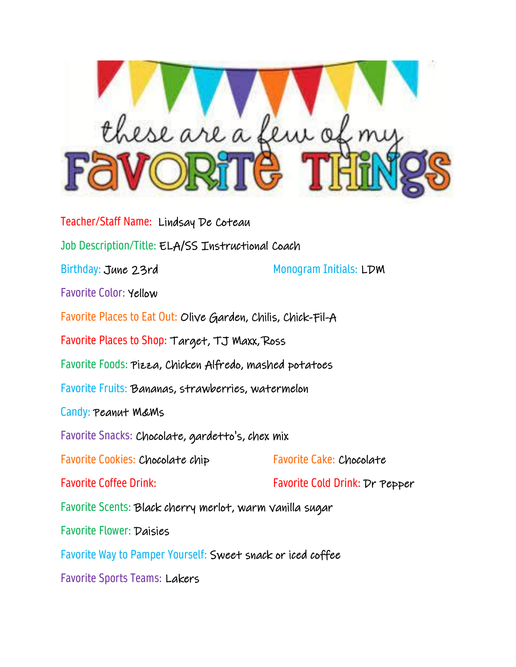

Teacher/Staff Name: Lindsay De Coteau Job Description/Title: ELA/SS Instructional Coach Birthday: June 23rd Monogram Initials: LDM Favorite Color: Yellow Favorite Places to Eat Out: Olive Garden, Chilis, Chick-Fil-A Favorite Places to Shop: Target, TJ Maxx, Ross Favorite Foods: Pizza, Chicken Alfredo, mashed potatoes Favorite Fruits: Bananas, strawberries, watermelon Candy: Peanut M&Ms Favorite Snacks: Chocolate, gardetto's, chex mix Favorite Cookies: Chocolate chip Favorite Cake: Chocolate Favorite Coffee Drink: Favorite Cold Drink: Dr Pepper Favorite Scents: Black cherry merlot, warm vanilla sugar Favorite Flower: Daisies Favorite Way to Pamper Yourself: Sweet snack or iced coffee Favorite Sports Teams: Lakers